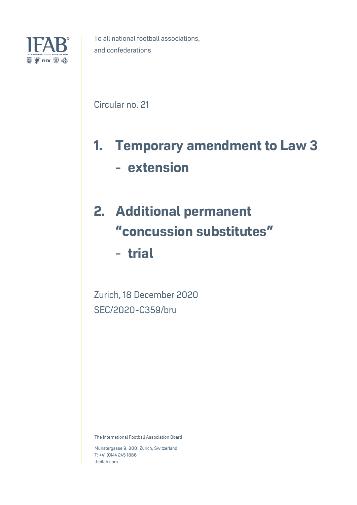

Circular no. 21

# **1. Temporary amendment to Law 3** - **extension**

## **2. Additional permanent**  "**concussion substitutes**"

- **trial**

Zurich, 18 December 2020 SEC/2020-C359/bru

The International Football Association Board

Münstergasse 9, 8001 Zürich, Switzerland T: +41 (0)44 245 1886 theifab.com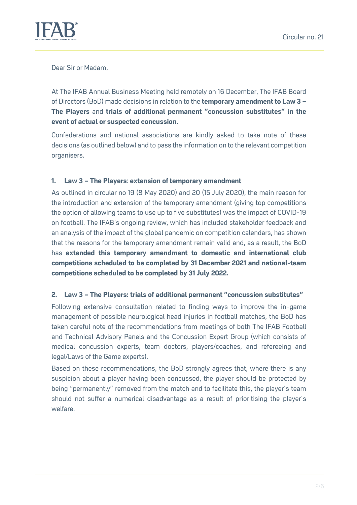

Dear Sir or Madam,

At The IFAB Annual Business Meeting held remotely on 16 December, The IFAB Board of Directors (BoD) made decisions in relation to the **temporary amendment to Law 3 – The Players** and **trials of additional permanent "concussion substitutes" in the event of actual or suspected concussion**.

Confederations and national associations are kindly asked to take note of these decisions (as outlined below) and to pass the information on to the relevant competition organisers.

#### **1. Law 3 – The Players**: **extension of temporary amendment**

As outlined in circular no 19 (8 May 2020) and 20 (15 July 2020), the main reason for the introduction and extension of the temporary amendment (giving top competitions the option of allowing teams to use up to five substitutes) was the impact of COVID-19 on football. The IFAB's ongoing review, which has included stakeholder feedback and an analysis of the impact of the global pandemic on competition calendars, has shown that the reasons for the temporary amendment remain valid and, as a result, the BoD has **extended this temporary amendment to domestic and international club competitions scheduled to be completed by 31 December 2021 and national-team competitions scheduled to be completed by 31 July 2022.**

#### **2. Law 3 – The Players: trials of additional permanent "concussion substitutes"**

Following extensive consultation related to finding ways to improve the in-game management of possible neurological head injuries in football matches, the BoD has taken careful note of the recommendations from meetings of both The IFAB Football and Technical Advisory Panels and the Concussion Expert Group (which consists of medical concussion experts, team doctors, players/coaches, and refereeing and legal/Laws of the Game experts).

Based on these recommendations, the BoD strongly agrees that, where there is any suspicion about a player having been concussed, the player should be protected by being "permanently" removed from the match and to facilitate this, the player's team should not suffer a numerical disadvantage as a result of prioritising the player's welfare.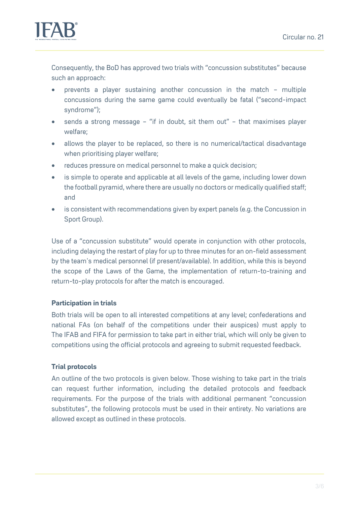

Consequently, the BoD has approved two trials with "concussion substitutes" because such an approach:

- prevents a player sustaining another concussion in the match multiple concussions during the same game could eventually be fatal ("second-impact syndrome");
- sends a strong message "if in doubt, sit them out" that maximises player welfare;
- allows the player to be replaced, so there is no numerical/tactical disadvantage when prioritising player welfare;
- reduces pressure on medical personnel to make a quick decision;
- is simple to operate and applicable at all levels of the game, including lower down the football pyramid, where there are usually no doctors or medically qualified staff; and
- is consistent with recommendations given by expert panels (e.g. the Concussion in Sport Group).

Use of a "concussion substitute" would operate in conjunction with other protocols, including delaying the restart of play for up to three minutes for an on-field assessment by the team's medical personnel (if present/available). In addition, while this is beyond the scope of the Laws of the Game, the implementation of return-to-training and return-to-play protocols for after the match is encouraged.

## **Participation in trials**

Both trials will be open to all interested competitions at any level; confederations and national FAs (on behalf of the competitions under their auspices) must apply to The IFAB and FIFA for permission to take part in either trial, which will only be given to competitions using the official protocols and agreeing to submit requested feedback.

## **Trial protocols**

An outline of the two protocols is given below. Those wishing to take part in the trials can request further information, including the detailed protocols and feedback requirements. For the purpose of the trials with additional permanent "concussion substitutes", the following protocols must be used in their entirety. No variations are allowed except as outlined in these protocols.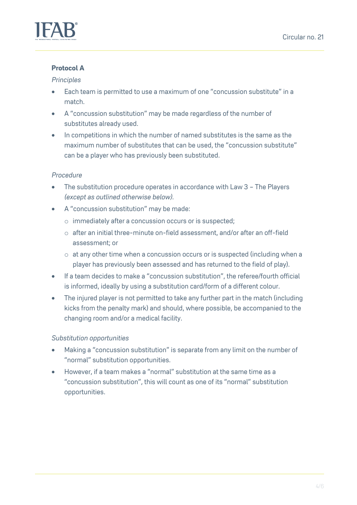

## **Protocol A**

#### *Principles*

- Each team is permitted to use a maximum of one "concussion substitute" in a match.
- A "concussion substitution" may be made regardless of the number of substitutes already used.
- In competitions in which the number of named substitutes is the same as the maximum number of substitutes that can be used, the "concussion substitute" can be a player who has previously been substituted.

## *Procedure*

- The substitution procedure operates in accordance with Law 3 The Players *(except as outlined otherwise below)*.
- A "concussion substitution" may be made:
	- o immediately after a concussion occurs or is suspected;
	- o after an initial three-minute on-field assessment, and/or after an off-field assessment; or
	- o at any other time when a concussion occurs or is suspected (including when a player has previously been assessed and has returned to the field of play).
- If a team decides to make a "concussion substitution", the referee/fourth official is informed, ideally by using a substitution card/form of a different colour.
- The injured player is not permitted to take any further part in the match (including kicks from the penalty mark) and should, where possible, be accompanied to the changing room and/or a medical facility.

## *Substitution opportunities*

- Making a "concussion substitution" is separate from any limit on the number of "normal" substitution opportunities.
- However, if a team makes a "normal" substitution at the same time as a "concussion substitution", this will count as one of its "normal" substitution opportunities.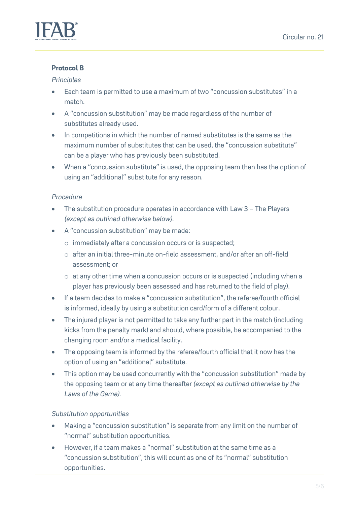

## **Protocol B**

#### *Principles*

- Each team is permitted to use a maximum of two "concussion substitutes" in a match.
- A "concussion substitution" may be made regardless of the number of substitutes already used.
- In competitions in which the number of named substitutes is the same as the maximum number of substitutes that can be used, the "concussion substitute" can be a player who has previously been substituted.
- When a "concussion substitute" is used, the opposing team then has the option of using an "additional" substitute for any reason.

## *Procedure*

- The substitution procedure operates in accordance with Law 3 The Players *(except as outlined otherwise below)*.
- A "concussion substitution" may be made:
	- o immediately after a concussion occurs or is suspected;
	- $\circ$  after an initial three-minute on-field assessment, and/or after an off-field assessment; or
	- o at any other time when a concussion occurs or is suspected (including when a player has previously been assessed and has returned to the field of play).
- If a team decides to make a "concussion substitution", the referee/fourth official is informed, ideally by using a substitution card/form of a different colour.
- The injured player is not permitted to take any further part in the match (including kicks from the penalty mark) and should, where possible, be accompanied to the changing room and/or a medical facility.
- The opposing team is informed by the referee/fourth official that it now has the option of using an "additional" substitute.
- This option may be used concurrently with the "concussion substitution" made by the opposing team or at any time thereafter *(except as outlined otherwise by the Laws of the Game).*

## *Substitution opportunities*

- Making a "concussion substitution" is separate from any limit on the number of "normal" substitution opportunities.
- However, if a team makes a "normal" substitution at the same time as a "concussion substitution", this will count as one of its "normal" substitution opportunities.